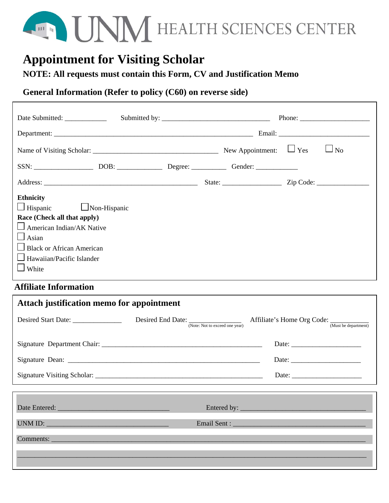# A THE THE SCIENCES CENTER

## **Appointment for Visiting Scholar**

**NOTE: All requests must contain this Form, CV and Justification Memo** 

## **General Information (Refer to policy (C60) on reverse side)**

| Date Submitted:                                                                                                                                                                                                             |  |            | Phone: $\frac{1}{\sqrt{1-\frac{1}{2}}}\frac{1}{\sqrt{1-\frac{1}{2}}}\frac{1}{\sqrt{1-\frac{1}{2}}}\frac{1}{\sqrt{1-\frac{1}{2}}}\frac{1}{\sqrt{1-\frac{1}{2}}}\frac{1}{\sqrt{1-\frac{1}{2}}}\frac{1}{\sqrt{1-\frac{1}{2}}}\frac{1}{\sqrt{1-\frac{1}{2}}}\frac{1}{\sqrt{1-\frac{1}{2}}}\frac{1}{\sqrt{1-\frac{1}{2}}}\frac{1}{\sqrt{1-\frac{1}{2}}}\frac{1}{\sqrt{1-\frac{1}{2}}}\frac{1}{\sqrt{1-\frac{1}{2}}}\frac{1}{$ |
|-----------------------------------------------------------------------------------------------------------------------------------------------------------------------------------------------------------------------------|--|------------|--------------------------------------------------------------------------------------------------------------------------------------------------------------------------------------------------------------------------------------------------------------------------------------------------------------------------------------------------------------------------------------------------------------------------|
|                                                                                                                                                                                                                             |  |            |                                                                                                                                                                                                                                                                                                                                                                                                                          |
|                                                                                                                                                                                                                             |  | $\Box$ Yes | $\Box$ No                                                                                                                                                                                                                                                                                                                                                                                                                |
|                                                                                                                                                                                                                             |  |            |                                                                                                                                                                                                                                                                                                                                                                                                                          |
|                                                                                                                                                                                                                             |  |            |                                                                                                                                                                                                                                                                                                                                                                                                                          |
| <b>Ethnicity</b><br>$\Box$ Hispanic $\Box$ Non-Hispanic<br>Race (Check all that apply)<br>$\Box$ American Indian/AK Native<br>$\Box$ Asian<br>$\Box$ Black or African American<br>Hawaiian/Pacific Islander<br>$\Box$ White |  |            |                                                                                                                                                                                                                                                                                                                                                                                                                          |

### **Affiliate Information**

| Attach justification memo for appointment |             |                                                                                                               |  |  |  |
|-------------------------------------------|-------------|---------------------------------------------------------------------------------------------------------------|--|--|--|
|                                           |             | Desired Start Date: Desired End Date: Not to exceed one year) Affiliate's Home Org Code: (Must be department) |  |  |  |
|                                           |             |                                                                                                               |  |  |  |
|                                           |             |                                                                                                               |  |  |  |
|                                           |             |                                                                                                               |  |  |  |
|                                           |             |                                                                                                               |  |  |  |
|                                           | Entered by: |                                                                                                               |  |  |  |
| UNM ID:                                   |             |                                                                                                               |  |  |  |
|                                           |             | Comments:                                                                                                     |  |  |  |
|                                           |             |                                                                                                               |  |  |  |